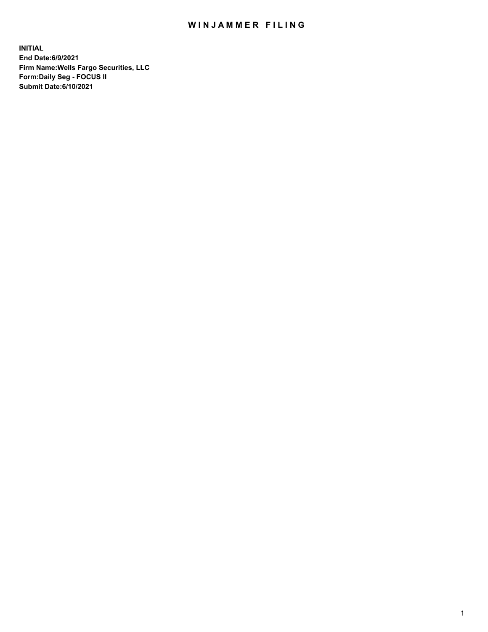## WIN JAMMER FILING

**INITIAL End Date:6/9/2021 Firm Name:Wells Fargo Securities, LLC Form:Daily Seg - FOCUS II Submit Date:6/10/2021**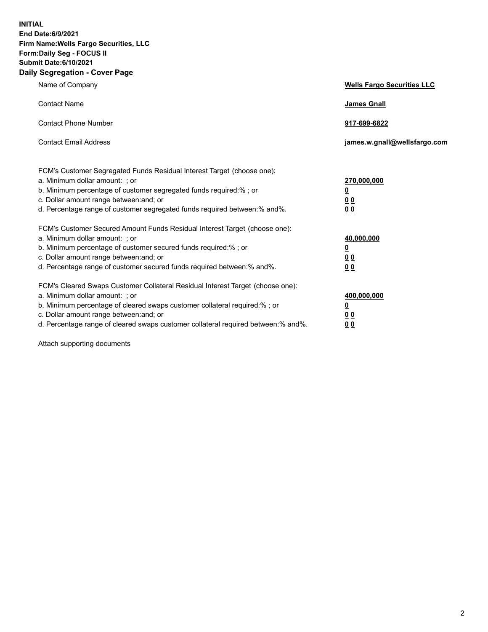**INITIAL End Date:6/9/2021 Firm Name:Wells Fargo Securities, LLC Form:Daily Seg - FOCUS II Submit Date:6/10/2021 Daily Segregation - Cover Page**

| Name of Company                                                                                                                                                                                                                                                                                                                | <b>Wells Fargo Securities LLC</b>                     |
|--------------------------------------------------------------------------------------------------------------------------------------------------------------------------------------------------------------------------------------------------------------------------------------------------------------------------------|-------------------------------------------------------|
| <b>Contact Name</b>                                                                                                                                                                                                                                                                                                            | <b>James Gnall</b>                                    |
| <b>Contact Phone Number</b>                                                                                                                                                                                                                                                                                                    | 917-699-6822                                          |
| <b>Contact Email Address</b>                                                                                                                                                                                                                                                                                                   | james.w.gnall@wellsfargo.com                          |
| FCM's Customer Segregated Funds Residual Interest Target (choose one):<br>a. Minimum dollar amount: ; or<br>b. Minimum percentage of customer segregated funds required:% ; or<br>c. Dollar amount range between: and; or<br>d. Percentage range of customer segregated funds required between:% and%.                         | 270,000,000<br><u>0</u><br>0 <sub>0</sub><br>00       |
| FCM's Customer Secured Amount Funds Residual Interest Target (choose one):<br>a. Minimum dollar amount: ; or<br>b. Minimum percentage of customer secured funds required:% ; or<br>c. Dollar amount range between: and; or<br>d. Percentage range of customer secured funds required between:% and%.                           | 40,000,000<br><u>0</u><br><u>00</u><br>0 <sub>0</sub> |
| FCM's Cleared Swaps Customer Collateral Residual Interest Target (choose one):<br>a. Minimum dollar amount: ; or<br>b. Minimum percentage of cleared swaps customer collateral required:% ; or<br>c. Dollar amount range between: and; or<br>d. Percentage range of cleared swaps customer collateral required between:% and%. | 400,000,000<br><u>0</u><br>00<br>0 <sub>0</sub>       |

Attach supporting documents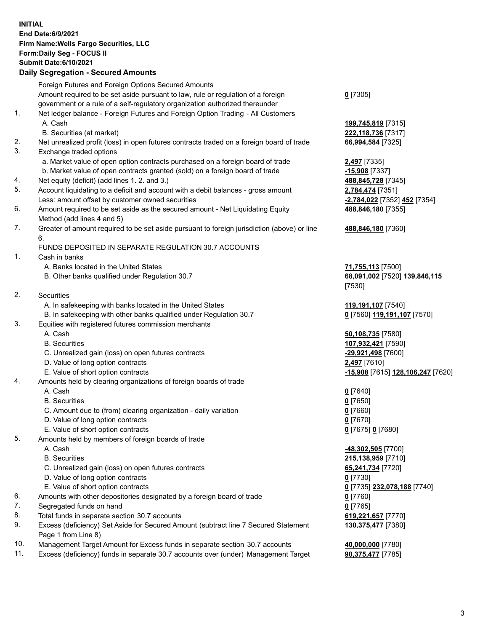**INITIAL End Date:6/9/2021 Firm Name:Wells Fargo Securities, LLC Form:Daily Seg - FOCUS II Submit Date:6/10/2021 Daily Segregation - Secured Amounts**

Foreign Futures and Foreign Options Secured Amounts Amount required to be set aside pursuant to law, rule or regulation of a foreign government or a rule of a self-regulatory organization authorized thereunder **0** [7305] 1. Net ledger balance - Foreign Futures and Foreign Option Trading - All Customers A. Cash **199,745,819** [7315] B. Securities (at market) **222,118,736** [7317] 2. Net unrealized profit (loss) in open futures contracts traded on a foreign board of trade **66,994,584** [7325] 3. Exchange traded options a. Market value of open option contracts purchased on a foreign board of trade **2,497** [7335] b. Market value of open contracts granted (sold) on a foreign board of trade **-15,908** [7337] 4. Net equity (deficit) (add lines 1. 2. and 3.) **488,845,728** [7345] 5. Account liquidating to a deficit and account with a debit balances - gross amount **2,784,474** [7351] Less: amount offset by customer owned securities **-2,784,022** [7352] **452** [7354] 6. Amount required to be set aside as the secured amount - Net Liquidating Equity Method (add lines 4 and 5) **488,846,180** [7355] 7. Greater of amount required to be set aside pursuant to foreign jurisdiction (above) or line 6. **488,846,180** [7360] FUNDS DEPOSITED IN SEPARATE REGULATION 30.7 ACCOUNTS 1. Cash in banks A. Banks located in the United States **71,755,113** [7500] B. Other banks qualified under Regulation 30.7 **68,091,002** [7520] **139,846,115** [7530] 2. Securities A. In safekeeping with banks located in the United States **119,191,107** [7540] B. In safekeeping with other banks qualified under Regulation 30.7 **0** [7560] **119,191,107** [7570] 3. Equities with registered futures commission merchants A. Cash **50,108,735** [7580] B. Securities **107,932,421** [7590] C. Unrealized gain (loss) on open futures contracts **-29,921,498** [7600] D. Value of long option contracts **2,497** [7610] E. Value of short option contracts **-15,908** [7615] **128,106,247** [7620] 4. Amounts held by clearing organizations of foreign boards of trade A. Cash **0** [7640] B. Securities **0** [7650] C. Amount due to (from) clearing organization - daily variation **0** [7660] D. Value of long option contracts **0** [7670] E. Value of short option contracts **0** [7675] **0** [7680] 5. Amounts held by members of foreign boards of trade A. Cash **-48,302,505** [7700] B. Securities **215,138,959** [7710] C. Unrealized gain (loss) on open futures contracts **65,241,734** [7720] D. Value of long option contracts **0** [7730] E. Value of short option contracts **0** [7735] **232,078,188** [7740] 6. Amounts with other depositories designated by a foreign board of trade **0** [7760] 7. Segregated funds on hand **0** [7765] 8. Total funds in separate section 30.7 accounts **619,221,657** [7770] 9. Excess (deficiency) Set Aside for Secured Amount (subtract line 7 Secured Statement Page 1 from Line 8) **130,375,477** [7380]

- 10. Management Target Amount for Excess funds in separate section 30.7 accounts **40,000,000** [7780]
- 11. Excess (deficiency) funds in separate 30.7 accounts over (under) Management Target **90,375,477** [7785]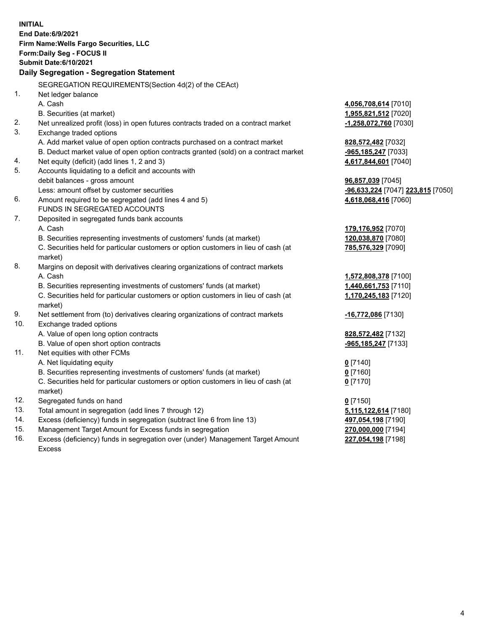**INITIAL End Date:6/9/2021 Firm Name:Wells Fargo Securities, LLC Form:Daily Seg - FOCUS II Submit Date:6/10/2021 Daily Segregation - Segregation Statement** SEGREGATION REQUIREMENTS(Section 4d(2) of the CEAct) 1. Net ledger balance A. Cash **4,056,708,614** [7010] B. Securities (at market) **1,955,821,512** [7020] 2. Net unrealized profit (loss) in open futures contracts traded on a contract market **-1,258,072,760** [7030] 3. Exchange traded options A. Add market value of open option contracts purchased on a contract market **828,572,482** [7032] B. Deduct market value of open option contracts granted (sold) on a contract market **-965,185,247** [7033] 4. Net equity (deficit) (add lines 1, 2 and 3) **4,617,844,601** [7040] 5. Accounts liquidating to a deficit and accounts with debit balances - gross amount **96,857,039** [7045] Less: amount offset by customer securities **-96,633,224** [7047] **223,815** [7050] 6. Amount required to be segregated (add lines 4 and 5) **4,618,068,416** [7060] FUNDS IN SEGREGATED ACCOUNTS 7. Deposited in segregated funds bank accounts A. Cash **179,176,952** [7070] B. Securities representing investments of customers' funds (at market) **120,038,870** [7080] C. Securities held for particular customers or option customers in lieu of cash (at market) **785,576,329** [7090] 8. Margins on deposit with derivatives clearing organizations of contract markets A. Cash **1,572,808,378** [7100] B. Securities representing investments of customers' funds (at market) **1,440,661,753** [7110] C. Securities held for particular customers or option customers in lieu of cash (at market) **1,170,245,183** [7120] 9. Net settlement from (to) derivatives clearing organizations of contract markets **-16,772,086** [7130] 10. Exchange traded options A. Value of open long option contracts **828,572,482** [7132] B. Value of open short option contracts **-965,185,247** [7133] 11. Net equities with other FCMs A. Net liquidating equity **0** [7140] B. Securities representing investments of customers' funds (at market) **0** [7160] C. Securities held for particular customers or option customers in lieu of cash (at market) **0** [7170] 12. Segregated funds on hand **0** [7150] 13. Total amount in segregation (add lines 7 through 12) **5,115,122,614** [7180] 14. Excess (deficiency) funds in segregation (subtract line 6 from line 13) **497,054,198** [7190] 15. Management Target Amount for Excess funds in segregation **270,000,000** [7194] 16. Excess (deficiency) funds in segregation over (under) Management Target Amount **227,054,198** [7198]

Excess